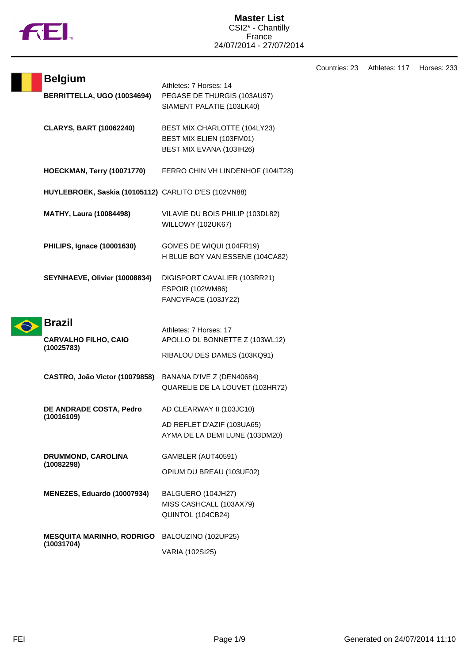

|                                                            |                                                                                          | Countries: 23 | Athletes: 117 | Horses: 233 |
|------------------------------------------------------------|------------------------------------------------------------------------------------------|---------------|---------------|-------------|
| <b>Belgium</b><br>BERRITTELLA, UGO (10034694)              | Athletes: 7 Horses: 14<br>PEGASE DE THURGIS (103AU97)<br>SIAMENT PALATIE (103LK40)       |               |               |             |
| <b>CLARYS, BART (10062240)</b>                             | BEST MIX CHARLOTTE (104LY23)<br>BEST MIX ELIEN (103FM01)<br>BEST MIX EVANA (103IH26)     |               |               |             |
| <b>HOECKMAN, Terry (10071770)</b>                          | FERRO CHIN VH LINDENHOF (104IT28)                                                        |               |               |             |
| HUYLEBROEK, Saskia (10105112) CARLITO D'ES (102VN88)       |                                                                                          |               |               |             |
| <b>MATHY, Laura (10084498)</b>                             | VILAVIE DU BOIS PHILIP (103DL82)<br>WILLOWY (102UK67)                                    |               |               |             |
| <b>PHILIPS, Ignace (10001630)</b>                          | GOMES DE WIQUI (104FR19)<br>H BLUE BOY VAN ESSENE (104CA82)                              |               |               |             |
| SEYNHAEVE, Olivier (10008834)                              | DIGISPORT CAVALIER (103RR21)<br><b>ESPOIR (102WM86)</b><br>FANCYFACE (103JY22)           |               |               |             |
| <b>Brazil</b><br><b>CARVALHO FILHO, CAIO</b><br>(10025783) | Athletes: 7 Horses: 17<br>APOLLO DL BONNETTE Z (103WL12)<br>RIBALOU DES DAMES (103KQ91)  |               |               |             |
| CASTRO, João Victor (10079858) BANANA D'IVE Z (DEN40684)   | QUARELIE DE LA LOUVET (103HR72)                                                          |               |               |             |
| <b>DE ANDRADE COSTA, Pedro</b><br>(10016109)               | AD CLEARWAY II (103JC10)<br>AD REFLET D'AZIF (103UA65)<br>AYMA DE LA DEMI LUNE (103DM20) |               |               |             |
| DRUMMOND, CAROLINA<br>(10082298)                           | GAMBLER (AUT40591)<br>OPIUM DU BREAU (103UF02)                                           |               |               |             |
| MENEZES, Eduardo (10007934)                                | BALGUERO (104JH27)<br>MISS CASHCALL (103AX79)<br>QUINTOL (104CB24)                       |               |               |             |
| <b>MESQUITA MARINHO, RODRIGO</b><br>(10031704)             | BALOUZINO (102UP25)<br>VARIA (102SI25)                                                   |               |               |             |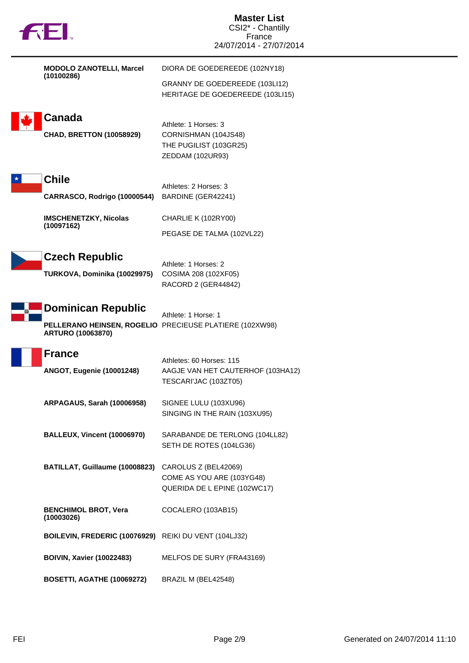| <b>TREI.</b>                                          | <b>Master List</b><br>CSI2* - Chantilly<br>France<br>24/07/2014 - 27/07/2014      |  |
|-------------------------------------------------------|-----------------------------------------------------------------------------------|--|
| <b>MODOLO ZANOTELLI, Marcel</b><br>(10100286)         | DIORA DE GOEDEREEDE (102NY18)                                                     |  |
|                                                       | GRANNY DE GOEDEREEDE (103LI12)<br>HERITAGE DE GOEDEREEDE (103LI15)                |  |
| <b>Canada</b>                                         | Athlete: 1 Horses: 3                                                              |  |
| <b>CHAD, BRETTON (10058929)</b>                       | CORNISHMAN (104JS48)<br>THE PUGILIST (103GR25)<br>ZEDDAM (102UR93)                |  |
| <b>Chile</b>                                          | Athletes: 2 Horses: 3                                                             |  |
| CARRASCO, Rodrigo (10000544)                          | BARDINE (GER42241)                                                                |  |
| <b>IMSCHENETZKY, Nicolas</b>                          | CHARLIE K (102RY00)                                                               |  |
| (10097162)                                            | PEGASE DE TALMA (102VL22)                                                         |  |
| <b>Czech Republic</b>                                 | Athlete: 1 Horses: 2                                                              |  |
| TURKOVA, Dominika (10029975)                          | COSIMA 208 (102XF05)<br>RACORD 2 (GER44842)                                       |  |
| <b>Dominican Republic</b><br><b>ARTURO (10063870)</b> | Athlete: 1 Horse: 1<br>PELLERANO HEINSEN, ROGELIO PRECIEUSE PLATIERE (102XW98)    |  |
| <b>France</b>                                         | Athletes: 60 Horses: 115                                                          |  |
| <b>ANGOT, Eugenie (10001248)</b>                      | AAGJE VAN HET CAUTERHOF (103HA12)<br>TESCARI'JAC (103ZT05)                        |  |
| <b>ARPAGAUS, Sarah (10006958)</b>                     | SIGNEE LULU (103XU96)<br>SINGING IN THE RAIN (103XU95)                            |  |
| <b>BALLEUX, Vincent (10006970)</b>                    | SARABANDE DE TERLONG (104LL82)<br>SETH DE ROTES (104LG36)                         |  |
| BATILLAT, Guillaume (10008823)                        | CAROLUS Z (BEL42069)<br>COME AS YOU ARE (103YG48)<br>QUERIDA DE L EPINE (102WC17) |  |
| <b>BENCHIMOL BROT, Vera</b><br>(10003026)             | COCALERO (103AB15)                                                                |  |
| BOILEVIN, FREDERIC (10076929) REIKI DU VENT (104LJ32) |                                                                                   |  |
| <b>BOIVIN, Xavier (10022483)</b>                      | MELFOS DE SURY (FRA43169)                                                         |  |
| <b>BOSETTI, AGATHE (10069272)</b>                     | BRAZIL M (BEL42548)                                                               |  |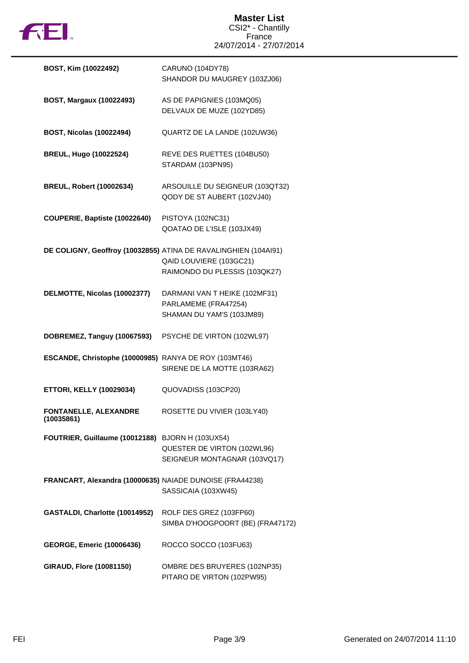

## **Master List** CSI2\* - Chantilly France 24/07/2014 - 27/07/2014

| BOST, Kim (10022492)                                     | <b>CARUNO (104DY78)</b><br>SHANDOR DU MAUGREY (103ZJ06)                                                                     |
|----------------------------------------------------------|-----------------------------------------------------------------------------------------------------------------------------|
| <b>BOST, Margaux (10022493)</b>                          | AS DE PAPIGNIES (103MQ05)<br>DELVAUX DE MUZE (102YD85)                                                                      |
| <b>BOST, Nicolas (10022494)</b>                          | QUARTZ DE LA LANDE (102UW36)                                                                                                |
| <b>BREUL, Hugo (10022524)</b>                            | REVE DES RUETTES (104BU50)<br>STARDAM (103PN95)                                                                             |
| <b>BREUL, Robert (10002634)</b>                          | ARSOUILLE DU SEIGNEUR (103QT32)<br>QODY DE ST AUBERT (102VJ40)                                                              |
| COUPERIE, Baptiste (10022640)                            | PISTOYA (102NC31)<br>QOATAO DE L'ISLE (103JX49)                                                                             |
|                                                          | DE COLIGNY, Geoffroy (10032855) ATINA DE RAVALINGHIEN (104AI91)<br>QAID LOUVIERE (103GC21)<br>RAIMONDO DU PLESSIS (103QK27) |
| DELMOTTE, Nicolas (10002377)                             | DARMANI VAN T HEIKE (102MF31)<br>PARLAMEME (FRA47254)<br>SHAMAN DU YAM'S (103JM89)                                          |
| DOBREMEZ, Tanguy (10067593)                              | PSYCHE DE VIRTON (102WL97)                                                                                                  |
| ESCANDE, Christophe (10000985) RANYA DE ROY (103MT46)    | SIRENE DE LA MOTTE (103RA62)                                                                                                |
| <b>ETTORI, KELLY (10029034)</b>                          | QUOVADISS (103CP20)                                                                                                         |
| <b>FONTANELLE, ALEXANDRE</b><br>(10035861)               | ROSETTE DU VIVIER (103LY40)                                                                                                 |
| FOUTRIER, Guillaume (10012188) BJORN H (103UX54)         | QUESTER DE VIRTON (102WL96)<br>SEIGNEUR MONTAGNAR (103VQ17)                                                                 |
| FRANCART, Alexandra (10000635) NAIADE DUNOISE (FRA44238) | SASSICAIA (103XW45)                                                                                                         |
| GASTALDI, Charlotte (10014952)                           | ROLF DES GREZ (103FP60)<br>SIMBA D'HOOGPOORT (BE) (FRA47172)                                                                |
| <b>GEORGE, Emeric (10006436)</b>                         | ROCCO SOCCO (103FU63)                                                                                                       |
| <b>GIRAUD, Flore (10081150)</b>                          | OMBRE DES BRUYERES (102NP35)                                                                                                |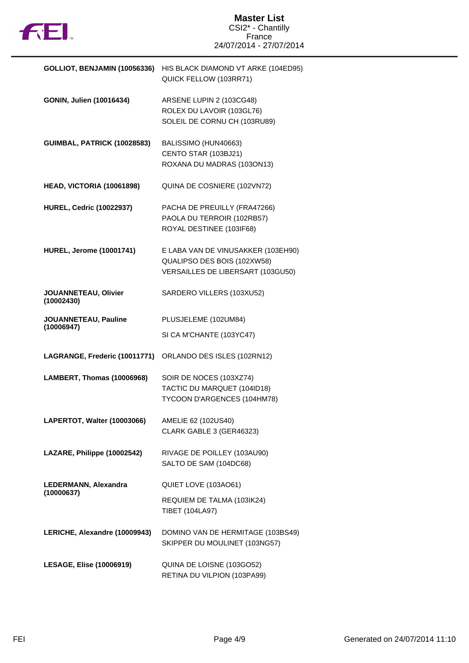

| <b>GOLLIOT, BENJAMIN (10056336)</b> | HIS BLACK DIAMOND VT ARKE (104ED95)<br>QUICK FELLOW (103RR71)                                          |
|-------------------------------------|--------------------------------------------------------------------------------------------------------|
| GONIN, Julien (10016434)            | ARSENE LUPIN 2 (103CG48)<br>ROLEX DU LAVOIR (103GL76)<br>SOLEIL DE CORNU CH (103RU89)                  |
| GUIMBAL, PATRICK (10028583)         | BALISSIMO (HUN40663)<br>CENTO STAR (103BJ21)<br>ROXANA DU MADRAS (103ON13)                             |
| HEAD, VICTORIA (10061898)           | QUINA DE COSNIERE (102VN72)                                                                            |
| <b>HUREL, Cedric (10022937)</b>     | PACHA DE PREUILLY (FRA47266)<br>PAOLA DU TERROIR (102RB57)<br>ROYAL DESTINEE (103IF68)                 |
| <b>HUREL, Jerome (10001741)</b>     | E LABA VAN DE VINUSAKKER (103EH90)<br>QUALIPSO DES BOIS (102XW58)<br>VERSAILLES DE LIBERSART (103GU50) |
| JOUANNETEAU, Olivier<br>(10002430)  | SARDERO VILLERS (103XU52)                                                                              |
| JOUANNETEAU, Pauline<br>(10006947)  | PLUSJELEME (102UM84)                                                                                   |
|                                     | SI CA M'CHANTE (103YC47)                                                                               |
| LAGRANGE, Frederic (10011771)       | ORLANDO DES ISLES (102RN12)                                                                            |
| LAMBERT, Thomas (10006968)          | SOIR DE NOCES (103XZ74)<br>TACTIC DU MARQUET (104ID18)<br>TYCOON D'ARGENCES (104HM78)                  |
| LAPERTOT, Walter (10003066)         | AMELIE 62 (102US40)<br>CLARK GABLE 3 (GER46323)                                                        |
| LAZARE, Philippe (10002542)         | RIVAGE DE POILLEY (103AU90)<br>SALTO DE SAM (104DC68)                                                  |
| LEDERMANN, Alexandra<br>(10000637)  | QUIET LOVE (103AO61)                                                                                   |
|                                     | REQUIEM DE TALMA (103IK24)<br>TIBET (104LA97)                                                          |
| LERICHE, Alexandre (10009943)       | DOMINO VAN DE HERMITAGE (103BS49)<br>SKIPPER DU MOULINET (103NG57)                                     |
| <b>LESAGE, Elise (10006919)</b>     | QUINA DE LOISNE (103GO52)<br>RETINA DU VILPION (103PA99)                                               |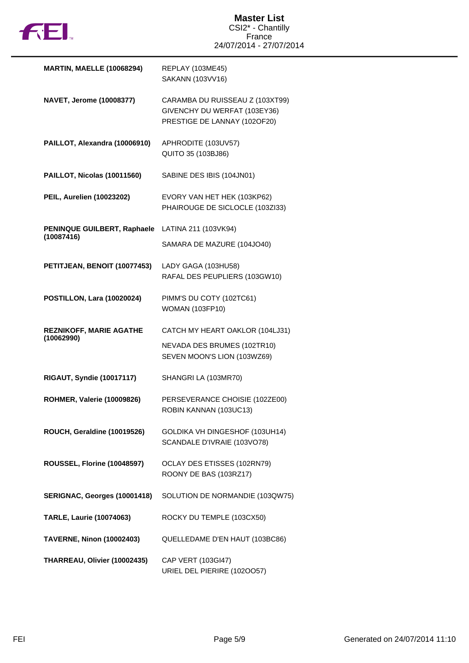

| <b>MARTIN, MAELLE (10068294)</b>             | <b>REPLAY (103ME45)</b><br>SAKANN (103VV16)                                                     |
|----------------------------------------------|-------------------------------------------------------------------------------------------------|
| NAVET, Jerome (10008377)                     | CARAMBA DU RUISSEAU Z (103XT99)<br>GIVENCHY DU WERFAT (103EY36)<br>PRESTIGE DE LANNAY (102OF20) |
| PAILLOT, Alexandra (10006910)                | APHRODITE (103UV57)<br>QUITO 35 (103BJ86)                                                       |
| PAILLOT, Nicolas (10011560)                  | SABINE DES IBIS (104JN01)                                                                       |
| PEIL, Aurelien (10023202)                    | EVORY VAN HET HEK (103KP62)<br>PHAIROUGE DE SICLOCLE (103ZI33)                                  |
| PENINQUE GUILBERT, Raphaele<br>(10087416)    | LATINA 211 (103VK94)                                                                            |
|                                              | SAMARA DE MAZURE (104JO40)                                                                      |
| PETITJEAN, BENOIT (10077453)                 | LADY GAGA (103HU58)<br>RAFAL DES PEUPLIERS (103GW10)                                            |
| <b>POSTILLON, Lara (10020024)</b>            | PIMM'S DU COTY (102TC61)<br><b>WOMAN (103FP10)</b>                                              |
| <b>REZNIKOFF, MARIE AGATHE</b><br>(10062990) | CATCH MY HEART OAKLOR (104LJ31)                                                                 |
|                                              | NEVADA DES BRUMES (102TR10)<br>SEVEN MOON'S LION (103WZ69)                                      |
| <b>RIGAUT, Syndie (10017117)</b>             | SHANGRI LA (103MR70)                                                                            |
| <b>ROHMER, Valerie (10009826)</b>            | PERSEVERANCE CHOISIE (102ZE00)<br>ROBIN KANNAN (103UC13)                                        |
| ROUCH, Geraldine (10019526)                  | GOLDIKA VH DINGESHOF (103UH14)<br>SCANDALE D'IVRAIE (103VO78)                                   |
| ROUSSEL, Florine (10048597)                  | OCLAY DES ETISSES (102RN79)<br>ROONY DE BAS (103RZ17)                                           |
| SERIGNAC, Georges (10001418)                 | SOLUTION DE NORMANDIE (103QW75)                                                                 |
| <b>TARLE, Laurie (10074063)</b>              | ROCKY DU TEMPLE (103CX50)                                                                       |
| <b>TAVERNE, Ninon (10002403)</b>             | QUELLEDAME D'EN HAUT (103BC86)                                                                  |
| THARREAU, Olivier (10002435)                 | CAP VERT (103GI47)<br>URIEL DEL PIERIRE (1020057)                                               |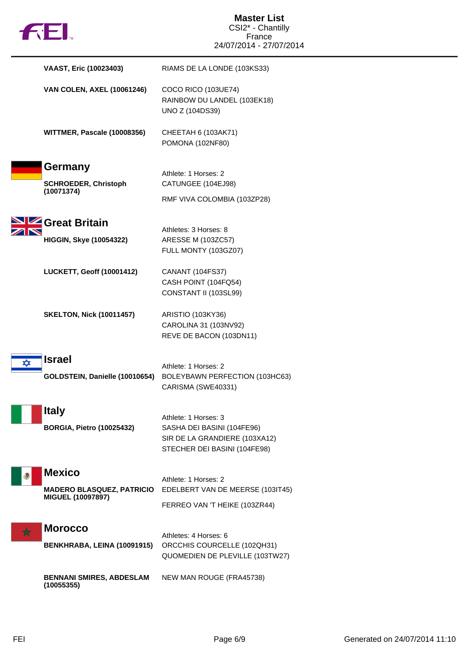| FIEI.                 |                                                       | <b>Master List</b><br>CSI2* - Chantilly<br>France                                                                   |
|-----------------------|-------------------------------------------------------|---------------------------------------------------------------------------------------------------------------------|
|                       |                                                       | 24/07/2014 - 27/07/2014                                                                                             |
|                       | VAAST, Eric (10023403)                                | RIAMS DE LA LONDE (103KS33)                                                                                         |
|                       | <b>VAN COLEN, AXEL (10061246)</b>                     | COCO RICO (103UE74)<br>RAINBOW DU LANDEL (103EK18)<br><b>UNO Z (104DS39)</b>                                        |
|                       | WITTMER, Pascale (10008356)                           | CHEETAH 6 (103AK71)<br>POMONA (102NF80)                                                                             |
| Germany<br>(10071374) | <b>SCHROEDER, Christoph</b>                           | Athlete: 1 Horses: 2<br>CATUNGEE (104EJ98)<br>RMF VIVA COLOMBIA (103ZP28)                                           |
| SIZ Great Britain     |                                                       | Athletes: 3 Horses: 8                                                                                               |
|                       | <b>HIGGIN, Skye (10054322)</b>                        | ARESSE M (103ZC57)<br>FULL MONTY (103GZ07)                                                                          |
|                       | <b>LUCKETT, Geoff (10001412)</b>                      | CANANT (104FS37)<br>CASH POINT (104FQ54)<br>CONSTANT II (103SL99)                                                   |
|                       | <b>SKELTON, Nick (10011457)</b>                       | ARISTIO (103KY36)<br>CAROLINA 31 (103NV92)<br>REVE DE BACON (103DN11)                                               |
| <b>Israel</b>         | GOLDSTEIN, Danielle (10010654)                        | Athlete: 1 Horses: 2<br>BOLEYBAWN PERFECTION (103HC63)<br>CARISMA (SWE40331)                                        |
| <b>Italy</b>          | <b>BORGIA, Pietro (10025432)</b>                      | Athlete: 1 Horses: 3<br>SASHA DEI BASINI (104FE96)<br>SIR DE LA GRANDIERE (103XA12)<br>STECHER DEI BASINI (104FE98) |
| <b>Mexico</b>         | <b>MADERO BLASQUEZ, PATRICIO</b><br>MIGUEL (10097897) | Athlete: 1 Horses: 2<br>EDELBERT VAN DE MEERSE (103IT45)<br>FERREO VAN 'T HEIKE (103ZR44)                           |
| <b>Morocco</b>        | BENKHRABA, LEINA (10091915)                           | Athletes: 4 Horses: 6<br>ORCCHIS COURCELLE (102QH31)<br>QUOMEDIEN DE PLEVILLE (103TW27)                             |
| (10055355)            | <b>BENNANI SMIRES, ABDESLAM</b>                       | NEW MAN ROUGE (FRA45738)                                                                                            |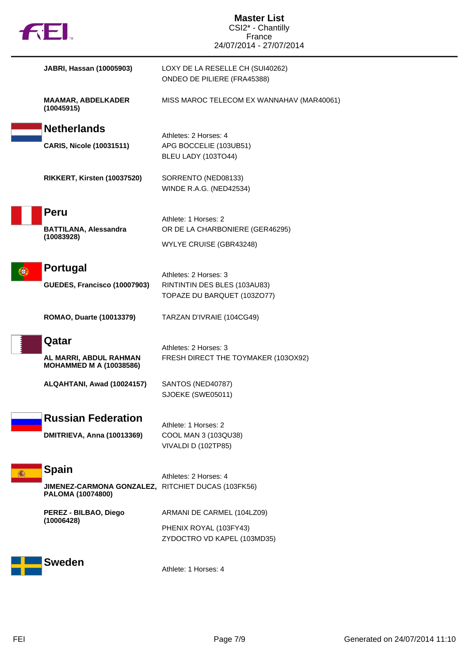| <b>Master List</b><br>CSI2* - Chantilly            |                                                              |  |
|----------------------------------------------------|--------------------------------------------------------------|--|
| fill.                                              | France                                                       |  |
|                                                    | 24/07/2014 - 27/07/2014                                      |  |
| JABRI, Hassan (10005903)                           | LOXY DE LA RESELLE CH (SUI40262)                             |  |
|                                                    | ONDEO DE PILIERE (FRA45388)                                  |  |
| <b>MAAMAR, ABDELKADER</b>                          | MISS MAROC TELECOM EX WANNAHAV (MAR40061)                    |  |
| (10045915)                                         |                                                              |  |
| <b>Netherlands</b>                                 |                                                              |  |
| <b>CARIS, Nicole (10031511)</b>                    | Athletes: 2 Horses: 4<br>APG BOCCELIE (103UB51)              |  |
|                                                    | BLEU LADY (103TO44)                                          |  |
| RIKKERT, Kirsten (10037520)                        | SORRENTO (NED08133)                                          |  |
|                                                    | <b>WINDE R.A.G. (NED42534)</b>                               |  |
|                                                    |                                                              |  |
| <b>Peru</b>                                        | Athlete: 1 Horses: 2                                         |  |
| <b>BATTILANA, Alessandra</b><br>(10083928)         | OR DE LA CHARBONIERE (GER46295)                              |  |
|                                                    | WYLYE CRUISE (GBR43248)                                      |  |
| <b>Portugal</b>                                    |                                                              |  |
|                                                    | Athletes: 2 Horses: 3                                        |  |
| GUEDES, Francisco (10007903)                       | RINTINTIN DES BLES (103AU83)<br>TOPAZE DU BARQUET (103ZO77)  |  |
|                                                    |                                                              |  |
| ROMAO, Duarte (10013379)                           | TARZAN D'IVRAIE (104CG49)                                    |  |
| Qatar                                              |                                                              |  |
| AL MARRI, ABDUL RAHMAN                             | Athletes: 2 Horses: 3<br>FRESH DIRECT THE TOYMAKER (103OX92) |  |
| <b>MOHAMMED M A (10038586)</b>                     |                                                              |  |
| ALQAHTANI, Awad (10024157)                         | SANTOS (NED40787)                                            |  |
|                                                    | SJOEKE (SWE05011)                                            |  |
| <b>Russian Federation</b>                          |                                                              |  |
|                                                    | Athlete: 1 Horses: 2                                         |  |
| DMITRIEVA, Anna (10013369)                         | COOL MAN 3 (103QU38)<br>VIVALDI D (102TP85)                  |  |
|                                                    |                                                              |  |
| <b>Spain</b>                                       | Athletes: 2 Horses: 4                                        |  |
| JIMENEZ-CARMONA GONZALEZ, RITCHIET DUCAS (103FK56) |                                                              |  |
| PALOMA (10074800)                                  |                                                              |  |
| PEREZ - BILBAO, Diego<br>(10006428)                | ARMANI DE CARMEL (104LZ09)                                   |  |
|                                                    | PHENIX ROYAL (103FY43)                                       |  |
|                                                    | ZYDOCTRO VD KAPEL (103MD35)                                  |  |
| <b>Sweden</b>                                      |                                                              |  |
|                                                    | Athlete: 1 Horses: 4                                         |  |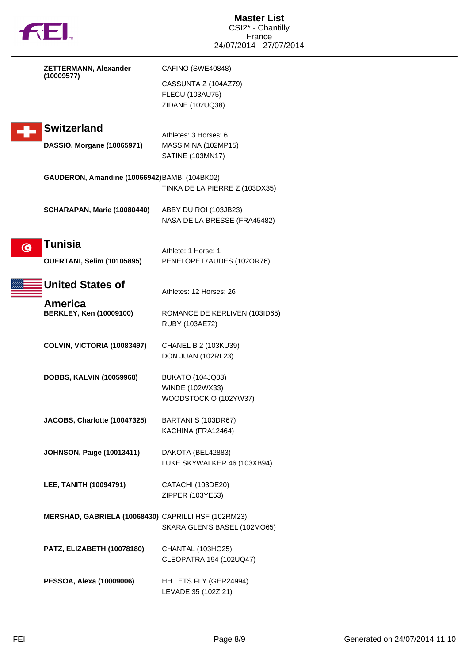| FJEI.                                                          | <b>Master List</b><br>CSI2* - Chantilly<br>France<br>24/07/2014 - 27/07/2014 |
|----------------------------------------------------------------|------------------------------------------------------------------------------|
| <b>ZETTERMANN, Alexander</b>                                   | CAFINO (SWE40848)                                                            |
| (10009577)                                                     | CASSUNTA Z (104AZ79)<br><b>FLECU (103AU75)</b><br>ZIDANE (102UQ38)           |
| <b>Switzerland</b><br>DASSIO, Morgane (10065971)               | Athletes: 3 Horses: 6<br>MASSIMINA (102MP15)<br>SATINE (103MN17)             |
| GAUDERON, Amandine (10066942) BAMBI (104BK02)                  | TINKA DE LA PIERRE Z (103DX35)                                               |
| SCHARAPAN, Marie (10080440)                                    | ABBY DU ROI (103JB23)<br>NASA DE LA BRESSE (FRA45482)                        |
| <b>Tunisia</b><br>$\odot$<br><b>OUERTANI, Selim (10105895)</b> | Athlete: 1 Horse: 1<br>PENELOPE D'AUDES (102OR76)                            |
| <b>United States of</b>                                        | Athletes: 12 Horses: 26                                                      |
| America<br><b>BERKLEY, Ken (10009100)</b>                      | ROMANCE DE KERLIVEN (103ID65)<br>RUBY (103AE72)                              |
| COLVIN, VICTORIA (10083497)                                    | CHANEL B 2 (103KU39)<br>DON JUAN (102RL23)                                   |
| <b>DOBBS, KALVIN (10059968)</b>                                | <b>BUKATO (104JQ03)</b><br>WINDE (102WX33)<br>WOODSTOCK O (102YW37)          |
| JACOBS, Charlotte (10047325)                                   | BARTANI S (103DR67)<br>KACHINA (FRA12464)                                    |
| <b>JOHNSON, Paige (10013411)</b>                               | DAKOTA (BEL42883)<br>LUKE SKYWALKER 46 (103XB94)                             |
| LEE, TANITH (10094791)                                         | CATACHI (103DE20)<br>ZIPPER (103YE53)                                        |
| MERSHAD, GABRIELA (10068430) CAPRILLI HSF (102RM23)            | SKARA GLEN'S BASEL (102MO65)                                                 |
| PATZ, ELIZABETH (10078180)                                     | CHANTAL (103HG25)<br>CLEOPATRA 194 (102UQ47)                                 |
| PESSOA, Alexa (10009006)                                       | HH LETS FLY (GER24994)<br>LEVADE 35 (102Zl21)                                |